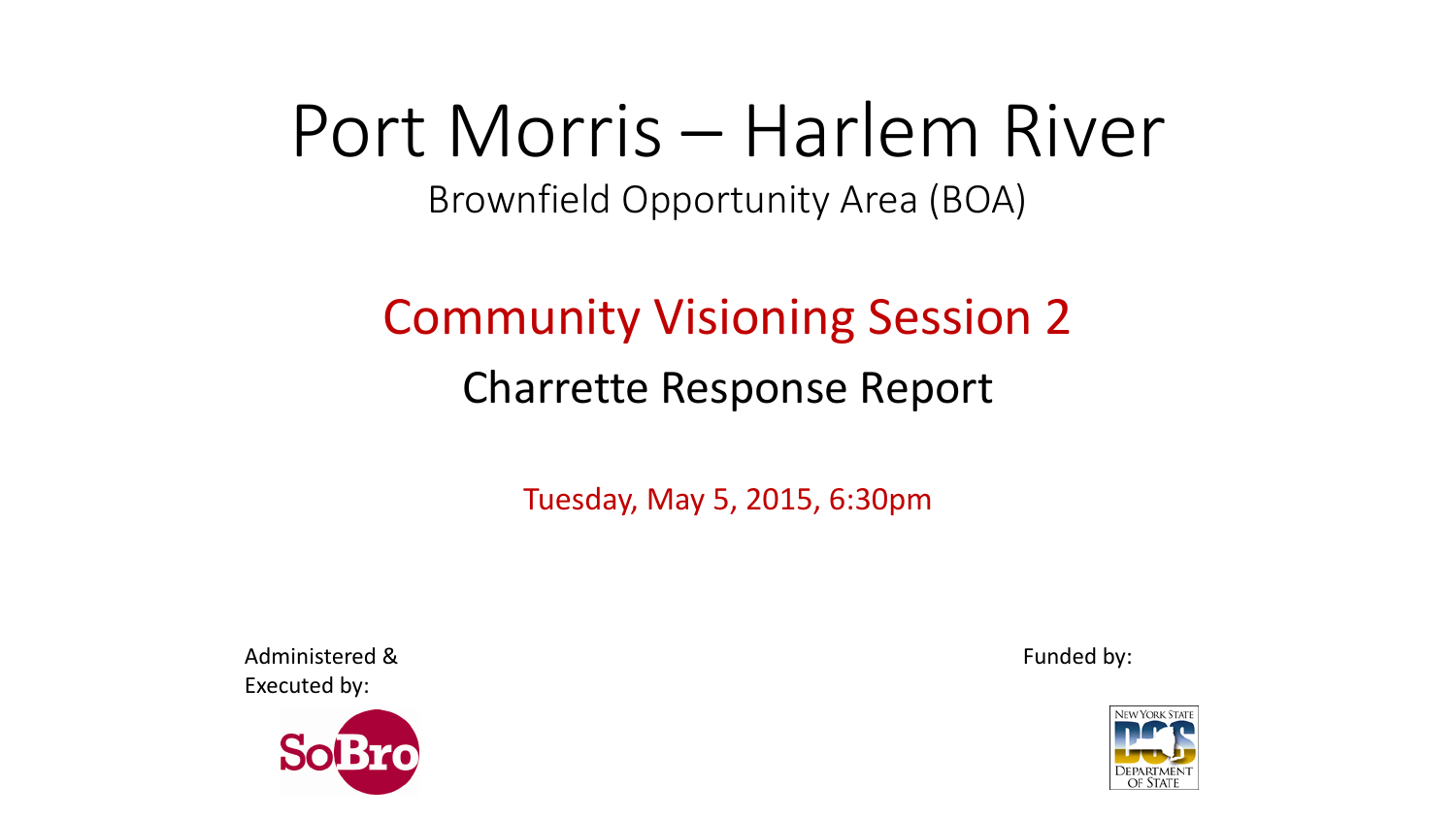# Port Morris – Harlem River

Brownfield Opportunity Area (BOA)

### Community Visioning Session 2 Charrette Response Report

Tuesday, May 5, 2015, 6:30pm

Administered & Funded by: Executed by:



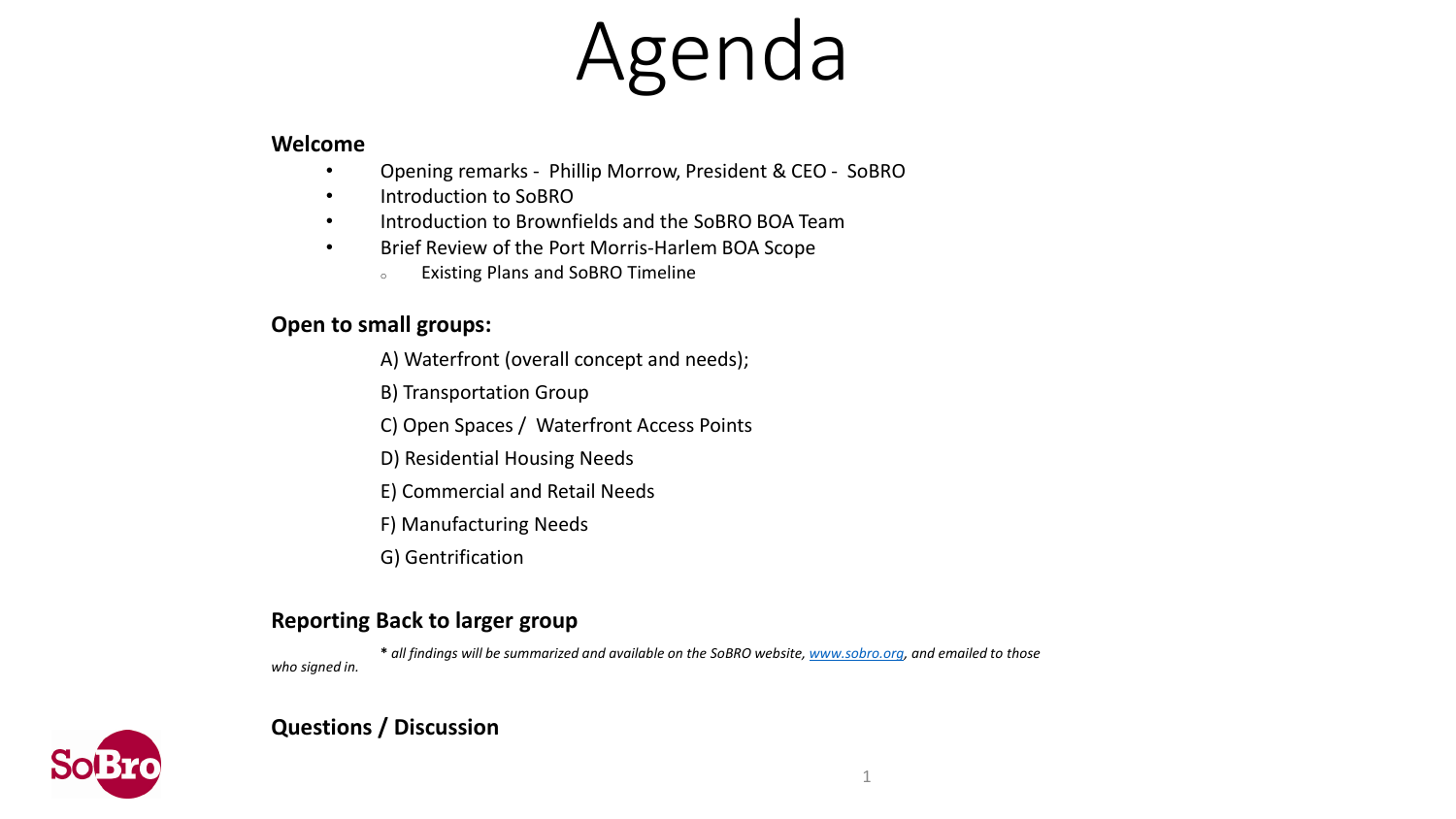# Agenda

#### **Welcome**

- Opening remarks Phillip Morrow, President & CEO SoBRO
- Introduction to SoBRO
- Introduction to Brownfields and the SoBRO BOA Team
- Brief Review of the Port Morris-Harlem BOA Scope
	- <sup>o</sup> Existing Plans and SoBRO Timeline

### **Open to small groups:**

- A) Waterfront (overall concept and needs);
- B) Transportation Group
- C) Open Spaces / Waterfront Access Points
- D) Residential Housing Needs
- E) Commercial and Retail Needs
- F) Manufacturing Needs
- G) Gentrification

### **Reporting Back to larger group**

**\*** *all findings will be summarized and available on the SoBRO website, [www.sobro.org](http://www.sobro.org/), and emailed to those who signed in.*



### **Questions / Discussion**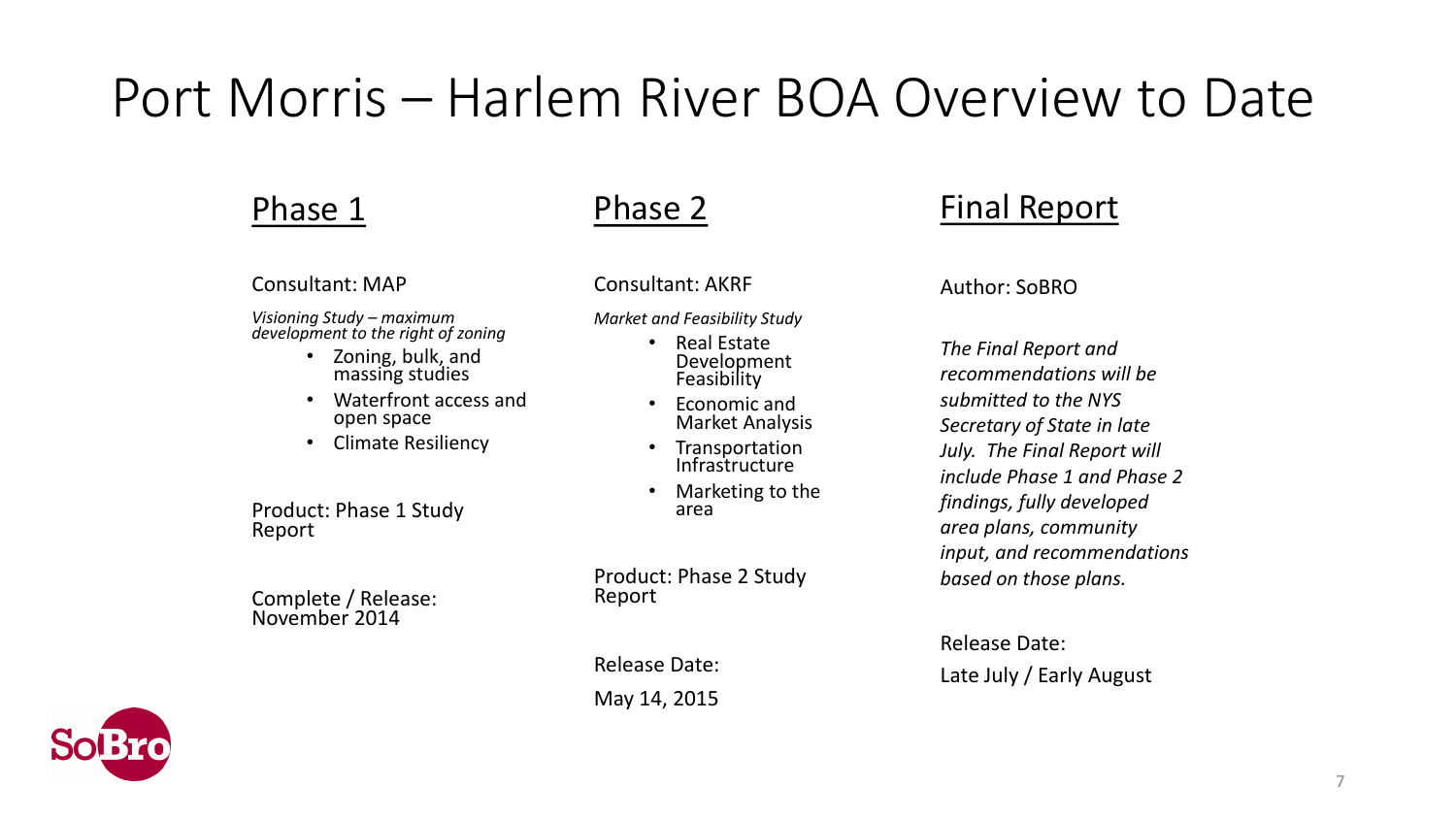### Port Morris – Harlem River BOA Overview to Date

### Phase 1

#### Consultant: MAP

*Visioning Study – maximum development to the right of zoning*

- Zoning, bulk, and massing studies
- Waterfront access and open space
- Climate Resiliency

Product: Phase 1 Study Report

Complete / Release: November 2014



### Phase 2

Consultant: AKRF

*Market and Feasibility Study* 

- Real Estate Development Feasibility
- Economic and Market Analysis
- Transportation Infrastructure
- Marketing to the area

Product: Phase 2 Study Report

Release Date:

May 14, 2015

### Final Report

#### Author: SoBRO

*The Final Report and recommendations will be submitted to the NYS Secretary of State in late July. The Final Report will include Phase 1 and Phase 2 findings, fully developed area plans, community input, and recommendations based on those plans.*

Release Date: Late July / Early August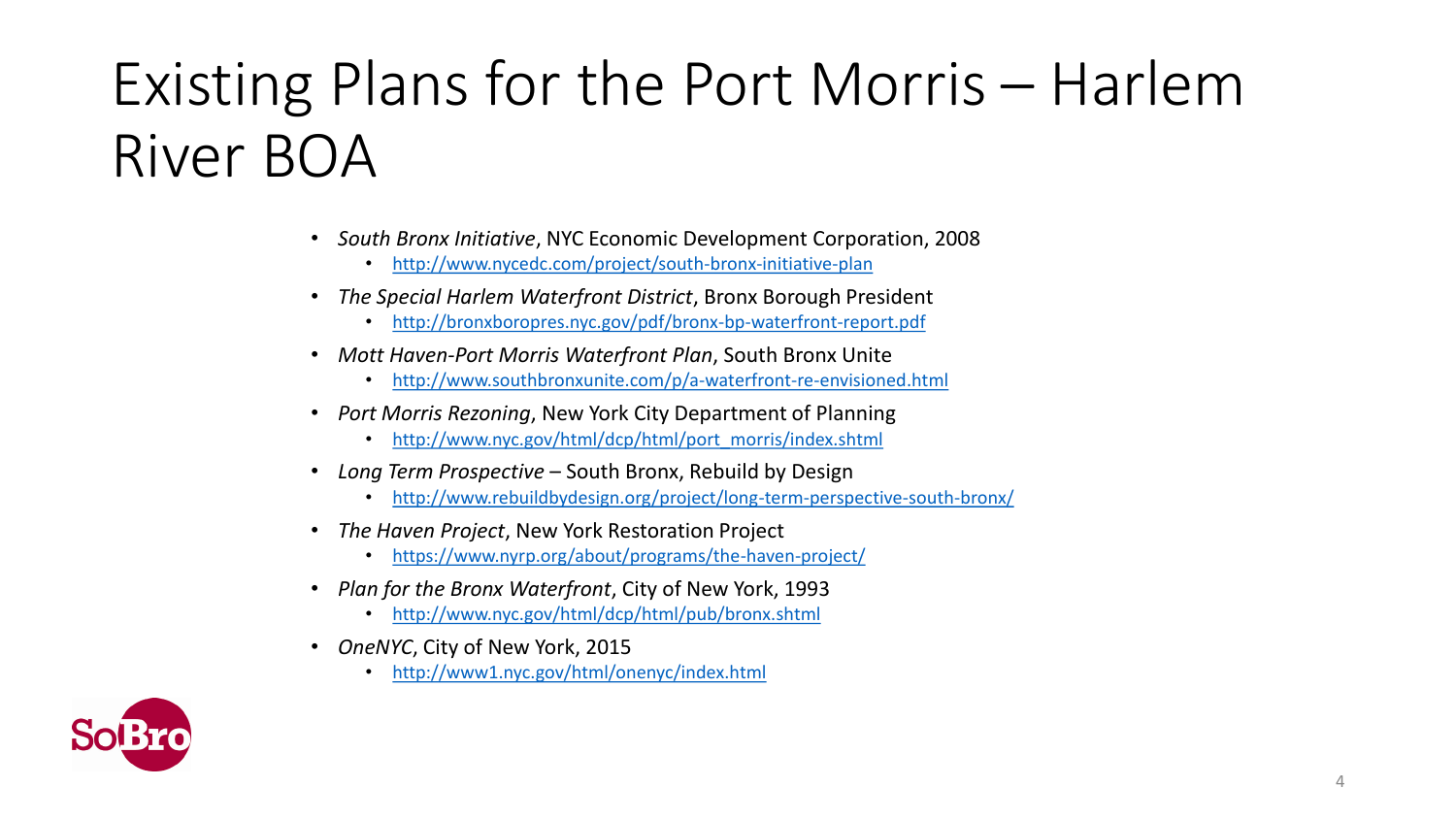# Existing Plans for the Port Morris – Harlem River BOA

- *South Bronx Initiative*, NYC Economic Development Corporation, 2008
	- <http://www.nycedc.com/project/south-bronx-initiative-plan>
- *The Special Harlem Waterfront District*, Bronx Borough President
	- <http://bronxboropres.nyc.gov/pdf/bronx-bp-waterfront-report.pdf>
- *Mott Haven-Port Morris Waterfront Plan*, South Bronx Unite
	- <http://www.southbronxunite.com/p/a-waterfront-re-envisioned.html>
- *Port Morris Rezoning*, New York City Department of Planning
	- [http://www.nyc.gov/html/dcp/html/port\\_morris/index.shtml](http://www.nyc.gov/html/dcp/html/port_morris/index.shtml)
- *Long Term Prospective*  South Bronx, Rebuild by Design
	- <http://www.rebuildbydesign.org/project/long-term-perspective-south-bronx/>
- *The Haven Project*, New York Restoration Project
	- <https://www.nyrp.org/about/programs/the-haven-project/>
- *Plan for the Bronx Waterfront*, City of New York, 1993
	- <http://www.nyc.gov/html/dcp/html/pub/bronx.shtml>
- *OneNYC*, City of New York, 2015
	- <http://www1.nyc.gov/html/onenyc/index.html>

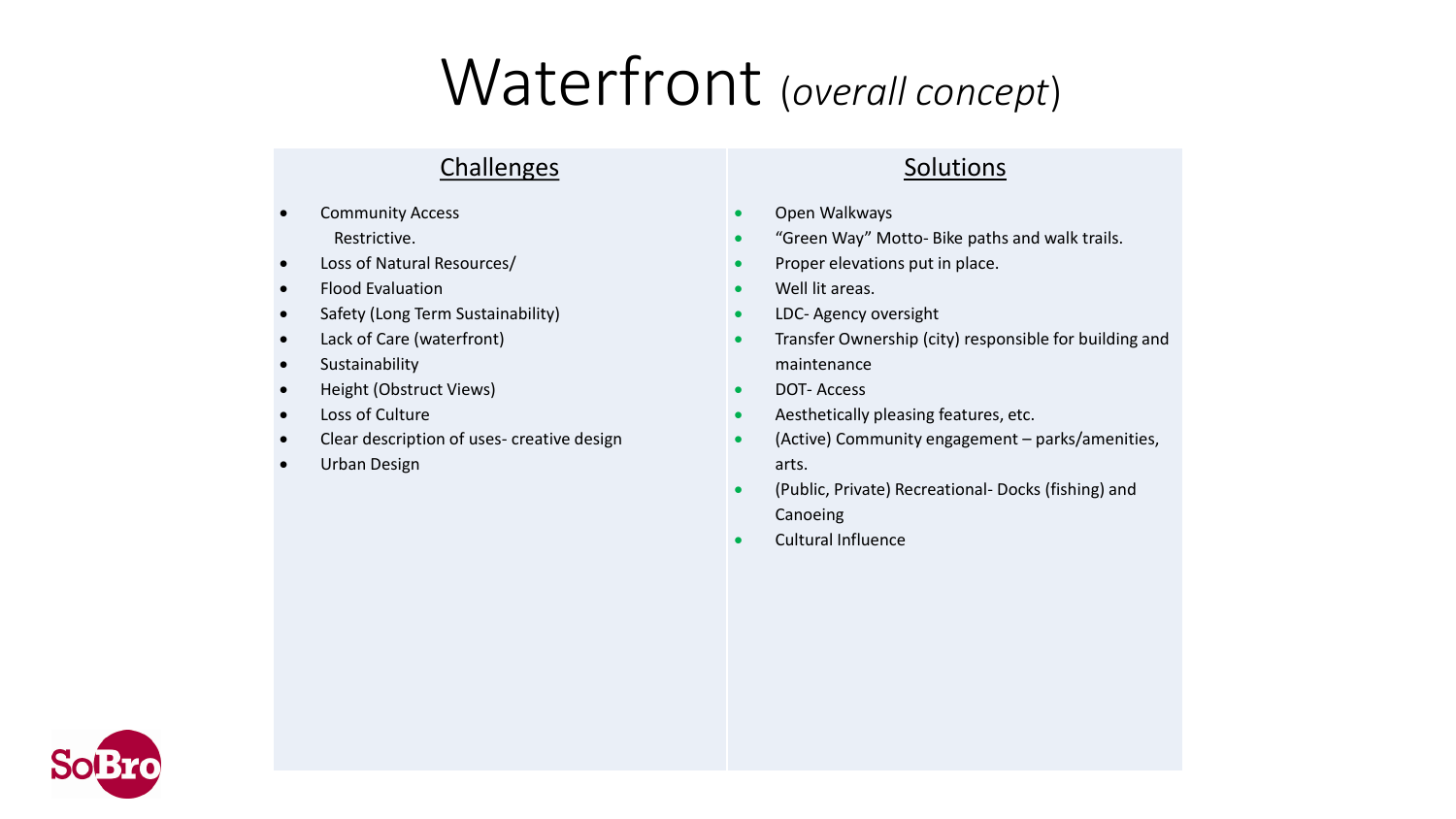# Waterfront (*overall concept*)

### **Challenges**

- Community Access Restrictive.
- Loss of Natural Resources/
- Flood Evaluation
- Safety (Long Term Sustainability)
- Lack of Care (waterfront)
- **•** Sustainability
- Height (Obstruct Views)
- Loss of Culture
- Clear description of uses- creative design
- Urban Design

#### Solutions

- **•** Open Walkways
- "Green Way" Motto- Bike paths and walk trails.
- Proper elevations put in place.
- Well lit areas.
- **.** LDC- Agency oversight
- **•** Transfer Ownership (city) responsible for building and maintenance
- DOT-Access
- **Aesthetically pleasing features, etc.**
- (Active) Community engagement parks/amenities, arts.
- (Public, Private) Recreational- Docks (fishing) and Canoeing
- Cultural Influence

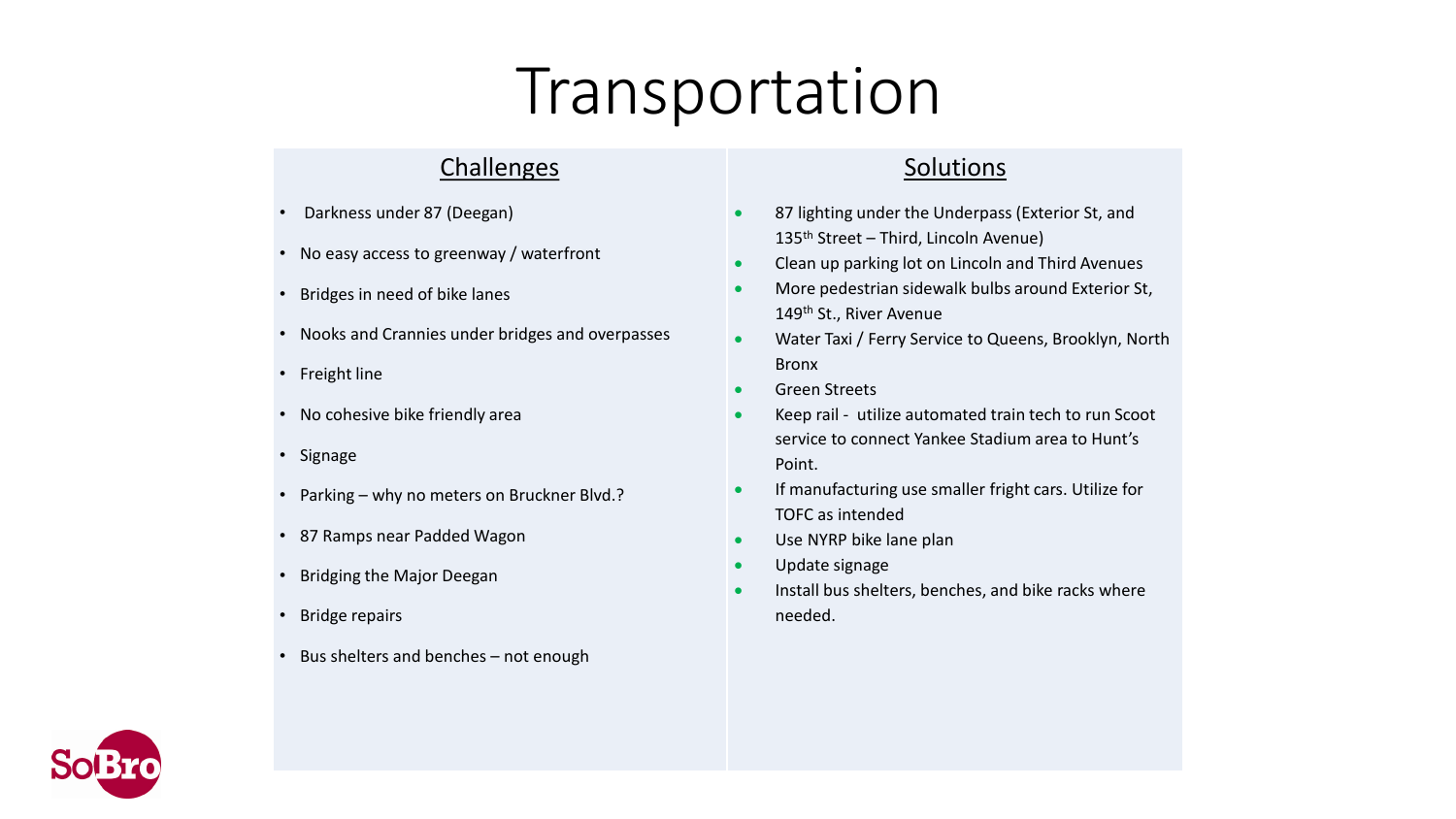# Transportation

### **Challenges**

- Darkness under 87 (Deegan)
- No easy access to greenway / waterfront
- Bridges in need of bike lanes
- Nooks and Crannies under bridges and overpasses
- Freight line
- No cohesive bike friendly area
- Signage
- Parking why no meters on Bruckner Blvd.?
- 87 Ramps near Padded Wagon
- Bridging the Major Deegan
- Bridge repairs
- Bus shelters and benches not enough

### Solutions

- 87 lighting under the Underpass (Exterior St, and 135<sup>th</sup> Street – Third, Lincoln Avenue)
- Clean up parking lot on Lincoln and Third Avenues
- More pedestrian sidewalk bulbs around Exterior St, 149<sup>th</sup> St., River Avenue
- Water Taxi / Ferry Service to Queens, Brooklyn, North Bronx
- **Green Streets**
- Keep rail utilize automated train tech to run Scoot service to connect Yankee Stadium area to Hunt's Point.
- **If manufacturing use smaller fright cars. Utilize for** TOFC as intended
- Use NYRP bike lane plan
- Update signage
- Install bus shelters, benches, and bike racks where needed.

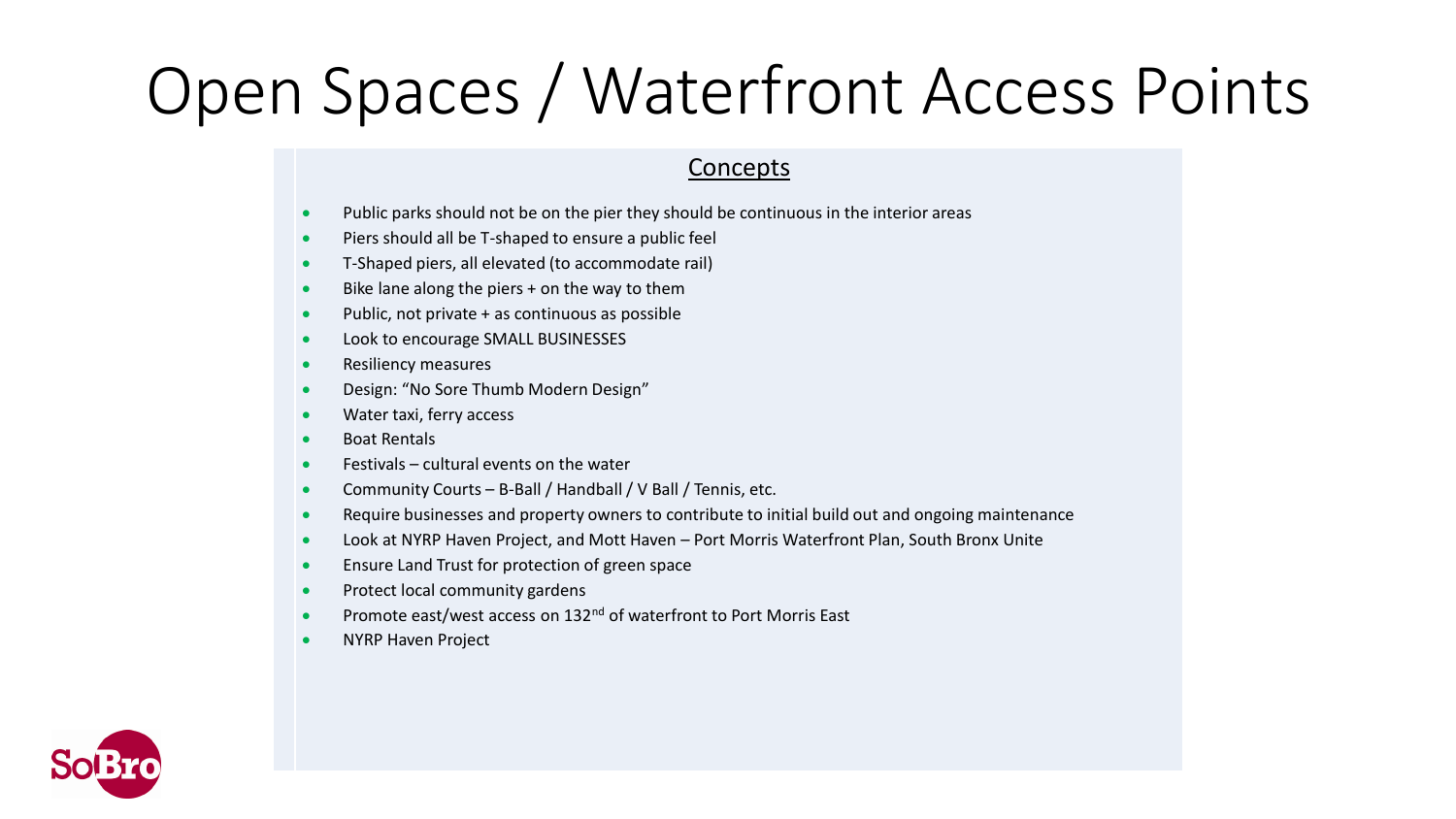# Open Spaces / Waterfront Access Points

- Public parks should not be on the pier they should be continuous in the interior areas
- **•** Piers should all be T-shaped to ensure a public feel
- T-Shaped piers, all elevated (to accommodate rail)
- Bike lane along the piers + on the way to them
- $\bullet$  Public, not private  $+$  as continuous as possible
- Look to encourage SMALL BUSINESSES
- Resiliency measures
- Design: "No Sore Thumb Modern Design"
- Water taxi, ferry access
- Boat Rentals
- $\bullet$  Festivals cultural events on the water
- Community Courts B-Ball / Handball / V Ball / Tennis, etc.
- Require businesses and property owners to contribute to initial build out and ongoing maintenance
- Look at NYRP Haven Project, and Mott Haven Port Morris Waterfront Plan, South Bronx Unite
- **Ensure Land Trust for protection of green space**
- Protect local community gardens
- **•** Promote east/west access on 132<sup>nd</sup> of waterfront to Port Morris East
- NYRP Haven Project

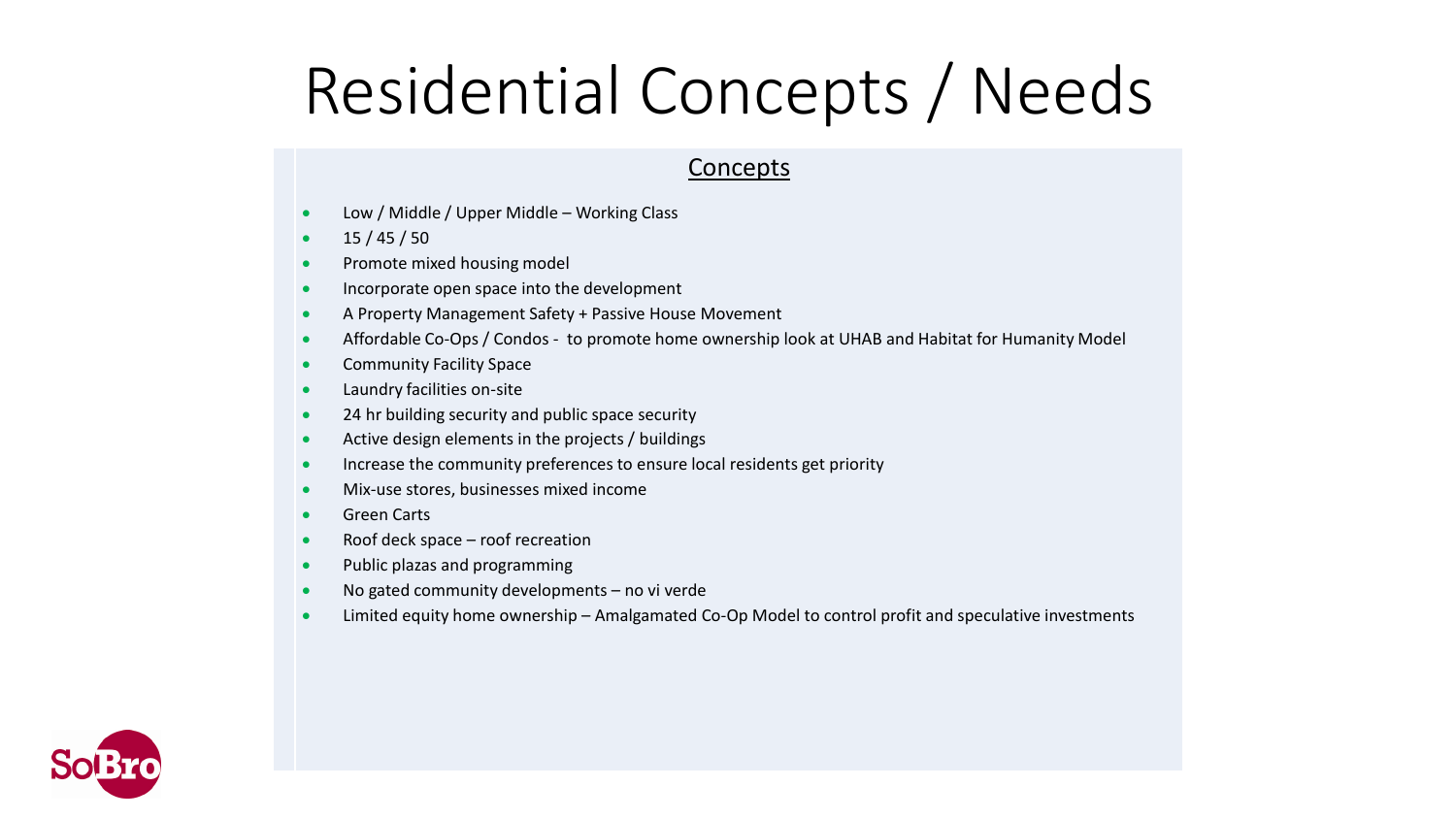# Residential Concepts / Needs

- Low / Middle / Upper Middle Working Class
- $\bullet$  15 / 45 / 50
- Promote mixed housing model
- **Incorporate open space into the development**
- A Property Management Safety + Passive House Movement
- Affordable Co-Ops / Condos to promote home ownership look at UHAB and Habitat for Humanity Model
- **•** Community Facility Space
- Laundry facilities on-site
- 24 hr building security and public space security
- Active design elements in the projects / buildings
- Increase the community preferences to ensure local residents get priority
- Mix-use stores, businesses mixed income
- **•** Green Carts
- Roof deck space roof recreation
- Public plazas and programming
- No gated community developments no vi verde
- Limited equity home ownership Amalgamated Co-Op Model to control profit and speculative investments

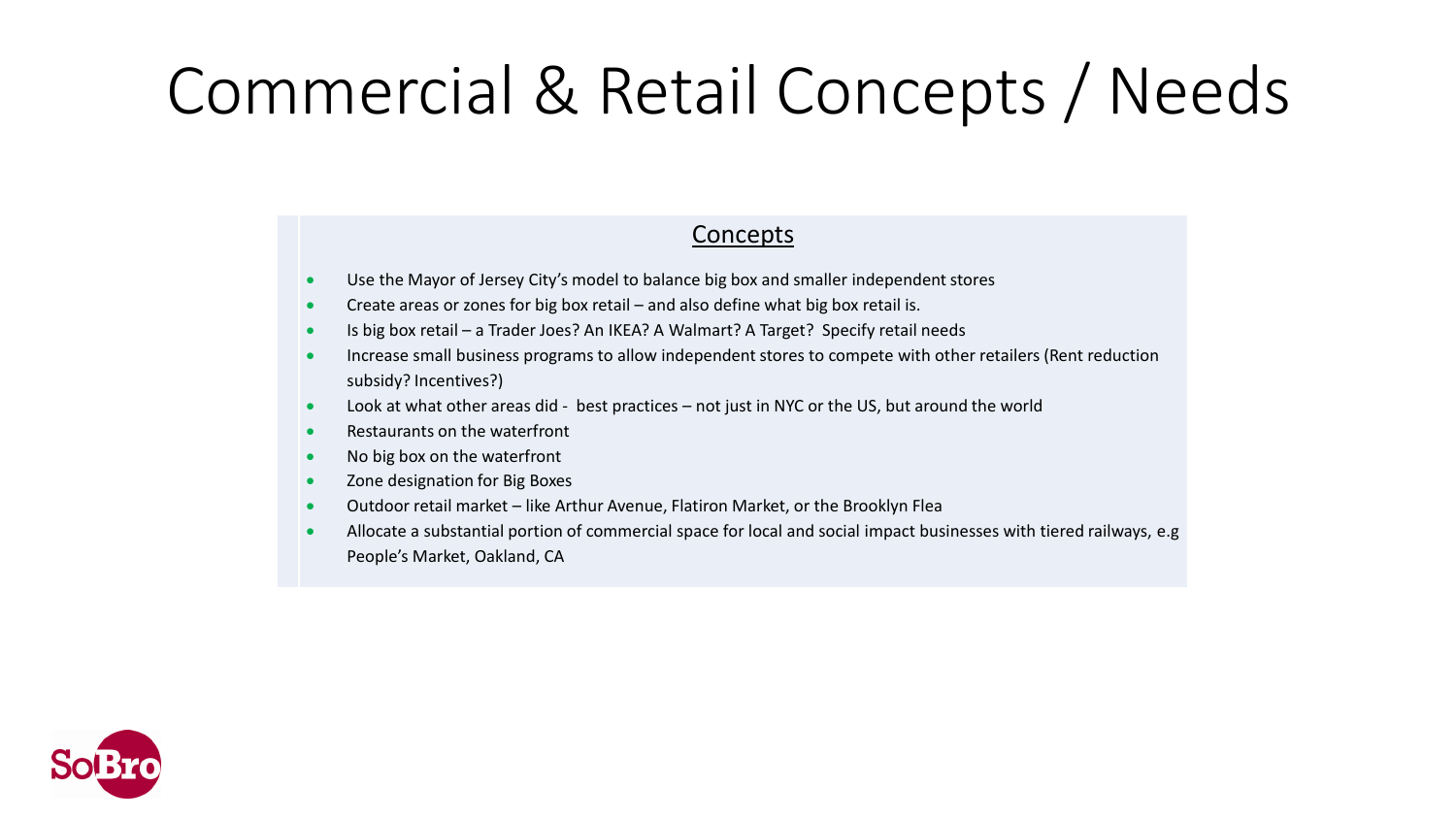# Commercial & Retail Concepts / Needs

- Use the Mayor of Jersey City's model to balance big box and smaller independent stores
- Create areas or zones for big box retail and also define what big box retail is.
- Is big box retail a Trader Joes? An IKEA? A Walmart? A Target? Specify retail needs
- Increase small business programs to allow independent stores to compete with other retailers (Rent reduction subsidy? Incentives?)
- Look at what other areas did best practices not just in NYC or the US, but around the world
- Restaurants on the waterfront
- No big box on the waterfront
- Zone designation for Big Boxes
- Outdoor retail market like Arthur Avenue, Flatiron Market, or the Brooklyn Flea
- Allocate a substantial portion of commercial space for local and social impact businesses with tiered railways, e.g People's Market, Oakland, CA

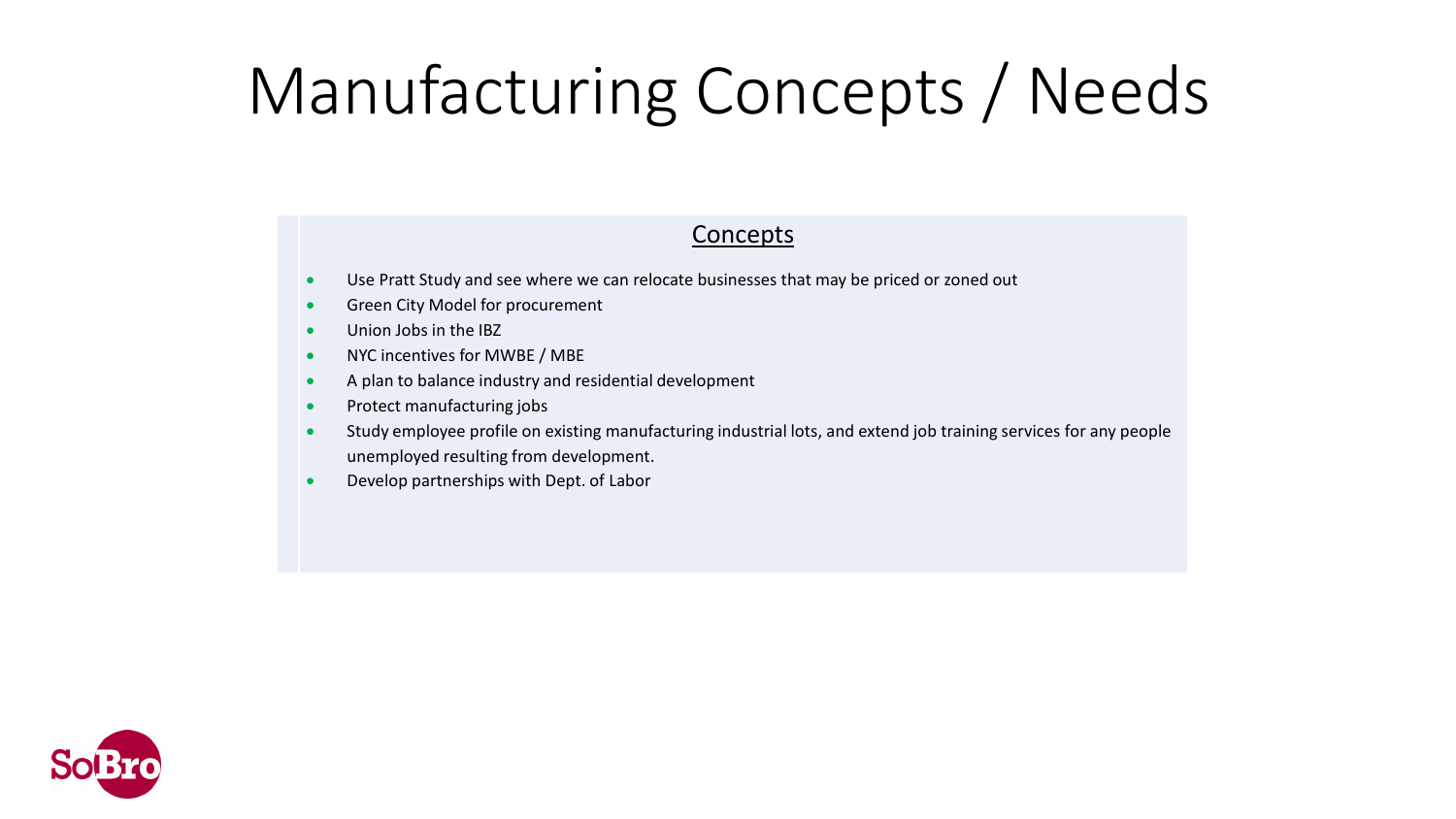# Manufacturing Concepts / Needs

- Use Pratt Study and see where we can relocate businesses that may be priced or zoned out
- **•** Green City Model for procurement
- Union Jobs in the IBZ
- NYC incentives for MWBE / MBE
- A plan to balance industry and residential development
- Protect manufacturing jobs
- Study employee profile on existing manufacturing industrial lots, and extend job training services for any people unemployed resulting from development.
- Develop partnerships with Dept. of Labor

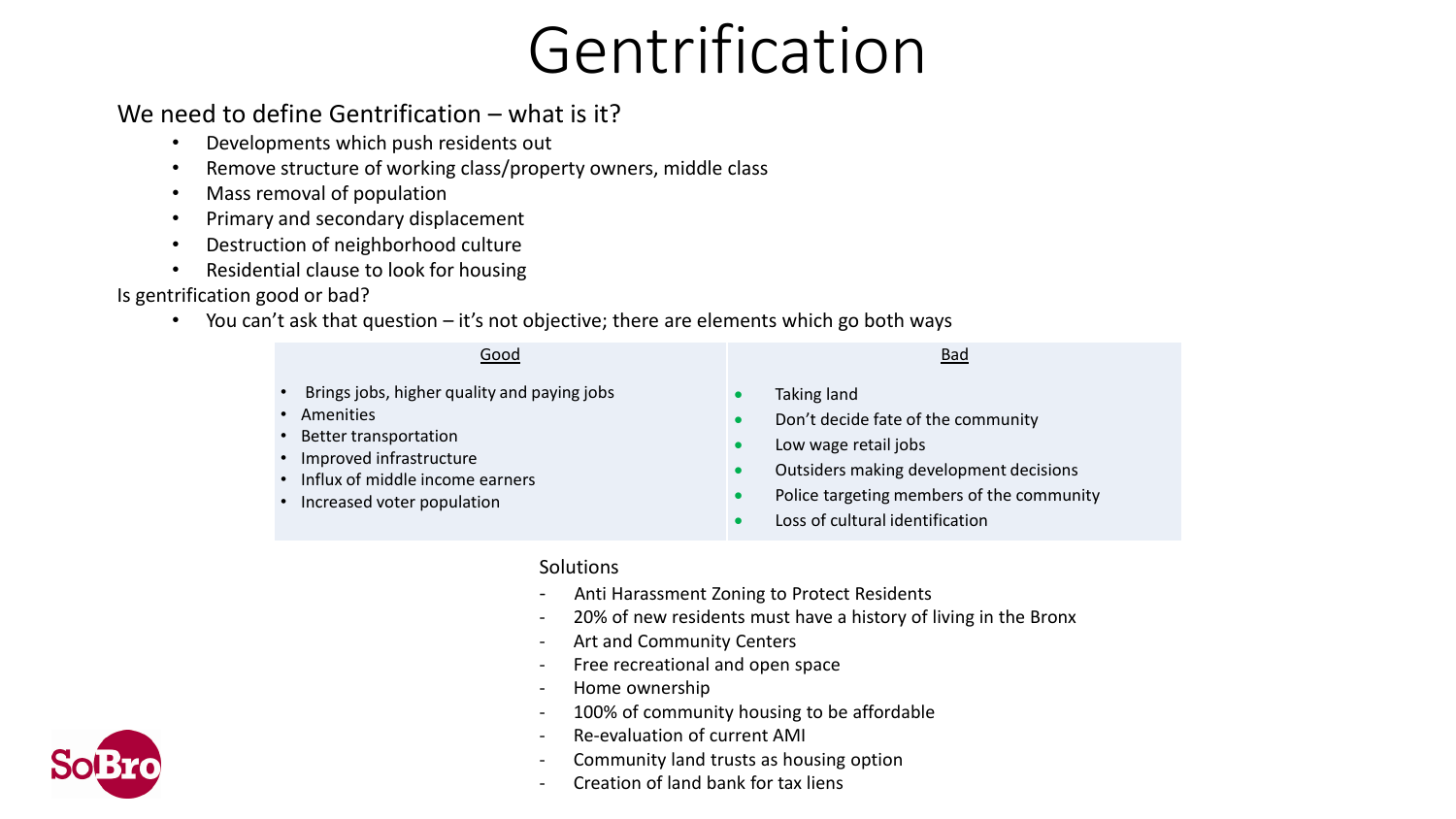# Gentrification

### We need to define Gentrification – what is it?

- Developments which push residents out
- Remove structure of working class/property owners, middle class
- Mass removal of population
- Primary and secondary displacement
- Destruction of neighborhood culture
- Residential clause to look for housing

#### Is gentrification good or bad?

• You can't ask that question – it's not objective; there are elements which go both ways

| Good                                                                                                                                                                                      | <b>Bad</b>                                                                                                                                                                                                                                                                        |
|-------------------------------------------------------------------------------------------------------------------------------------------------------------------------------------------|-----------------------------------------------------------------------------------------------------------------------------------------------------------------------------------------------------------------------------------------------------------------------------------|
| • Brings jobs, higher quality and paying jobs<br>• Amenities<br>• Better transportation<br>• Improved infrastructure<br>• Influx of middle income earners<br>• Increased voter population | Taking land<br>$\bullet$<br>Don't decide fate of the community<br>$\bullet$<br>Low wage retail jobs<br>$\bullet$<br>Outsiders making development decisions<br>$\bullet$<br>Police targeting members of the community<br>$\bullet$<br>Loss of cultural identification<br>$\bullet$ |
|                                                                                                                                                                                           |                                                                                                                                                                                                                                                                                   |

#### **Solutions**

- Anti Harassment Zoning to Protect Residents
- 20% of new residents must have a history of living in the Bronx
- Art and Community Centers
- Free recreational and open space
- Home ownership
- 100% of community housing to be affordable
- Re-evaluation of current AMI
- Community land trusts as housing option
- Creation of land bank for tax liens

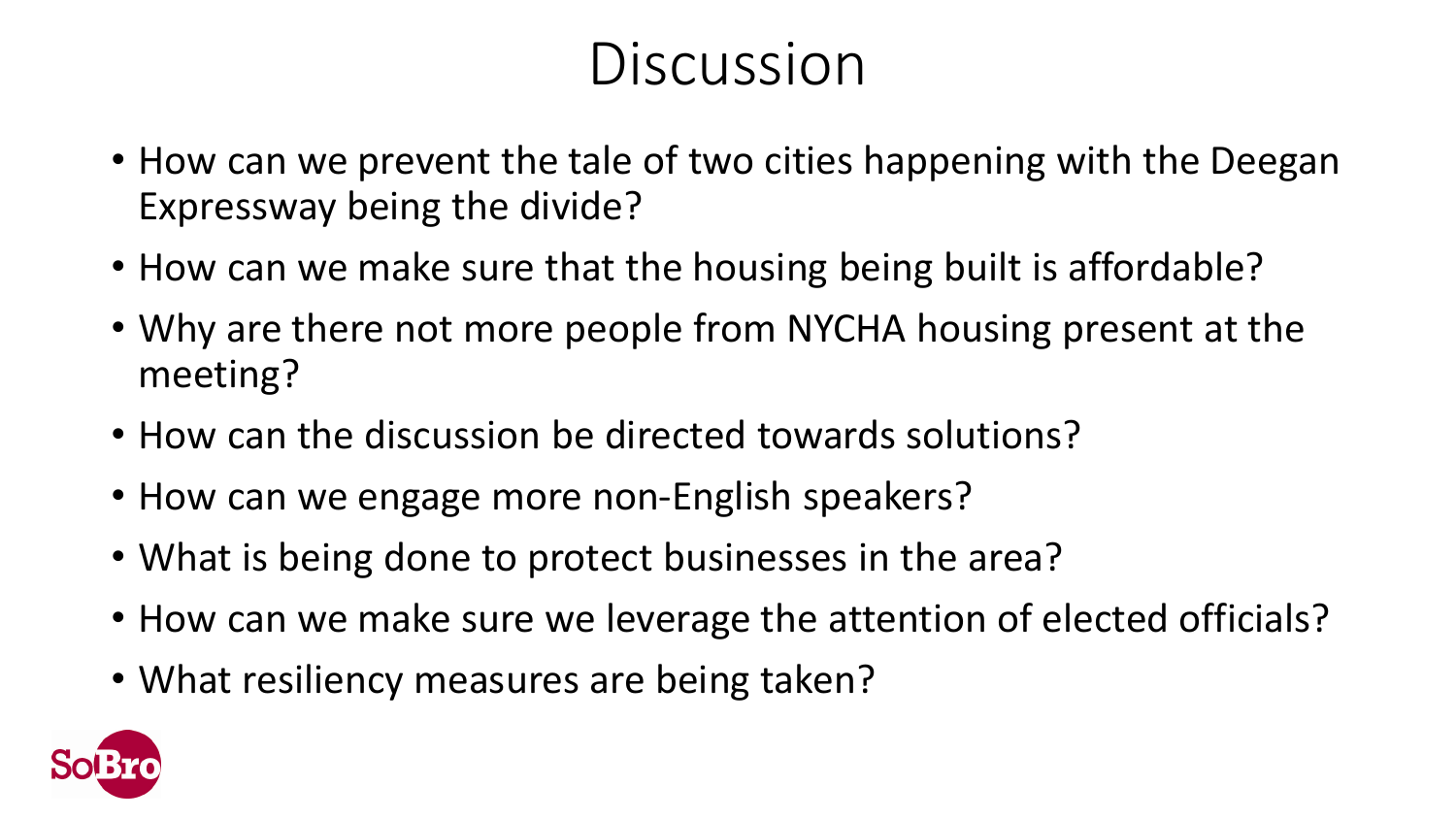## **Discussion**

- How can we prevent the tale of two cities happening with the Deegan Expressway being the divide?
- How can we make sure that the housing being built is affordable?
- Why are there not more people from NYCHA housing present at the meeting?
- How can the discussion be directed towards solutions?
- How can we engage more non-English speakers?
- What is being done to protect businesses in the area?
- How can we make sure we leverage the attention of elected officials?
- What resiliency measures are being taken?

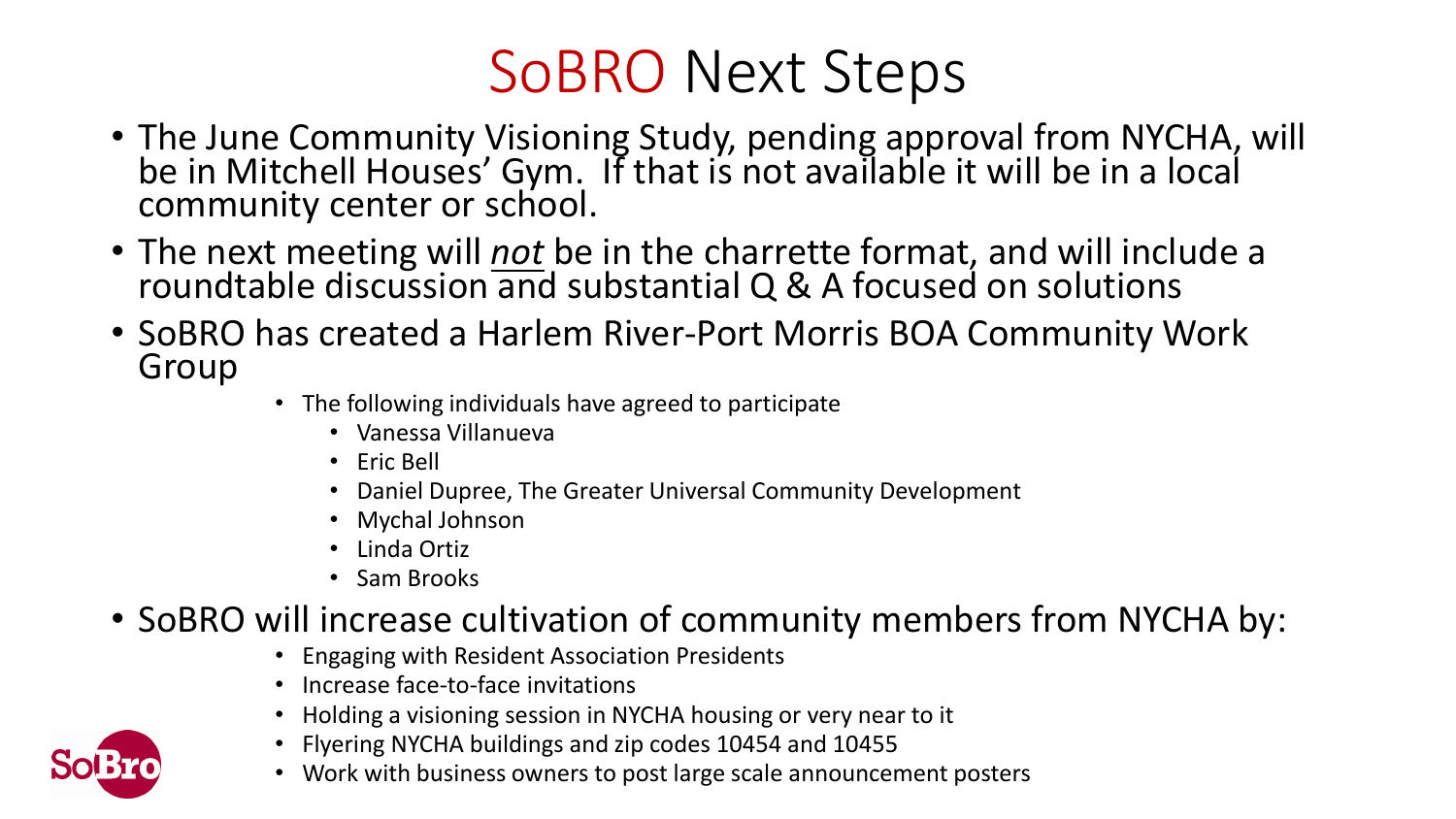## SoBRO Next Steps

- The June Community Visioning Study, pending approval from NYCHA, will be in Mitchell Houses' Gym. If that is not available it will be in a local community center or school.
- The next meeting will *not* be in the charrette format, and will include a roundtable discussion and substantial Q & A focused on solutions
- SoBRO has created a Harlem River-Port Morris BOA Community Work Group
	- The following individuals have agreed to participate
		- Vanessa Villanueva
		- Eric Bell
		- Daniel Dupree, The Greater Universal Community Development
		- Mychal Johnson
		- Linda Ortiz
		- Sam Brooks

### • SoBRO will increase cultivation of community members from NYCHA by:

- Engaging with Resident Association Presidents
- Increase face-to-face invitations
- Holding a visioning session in NYCHA housing or very near to it
- Flyering NYCHA buildings and zip codes 10454 and 10455
- Work with business owners to post large scale announcement posters

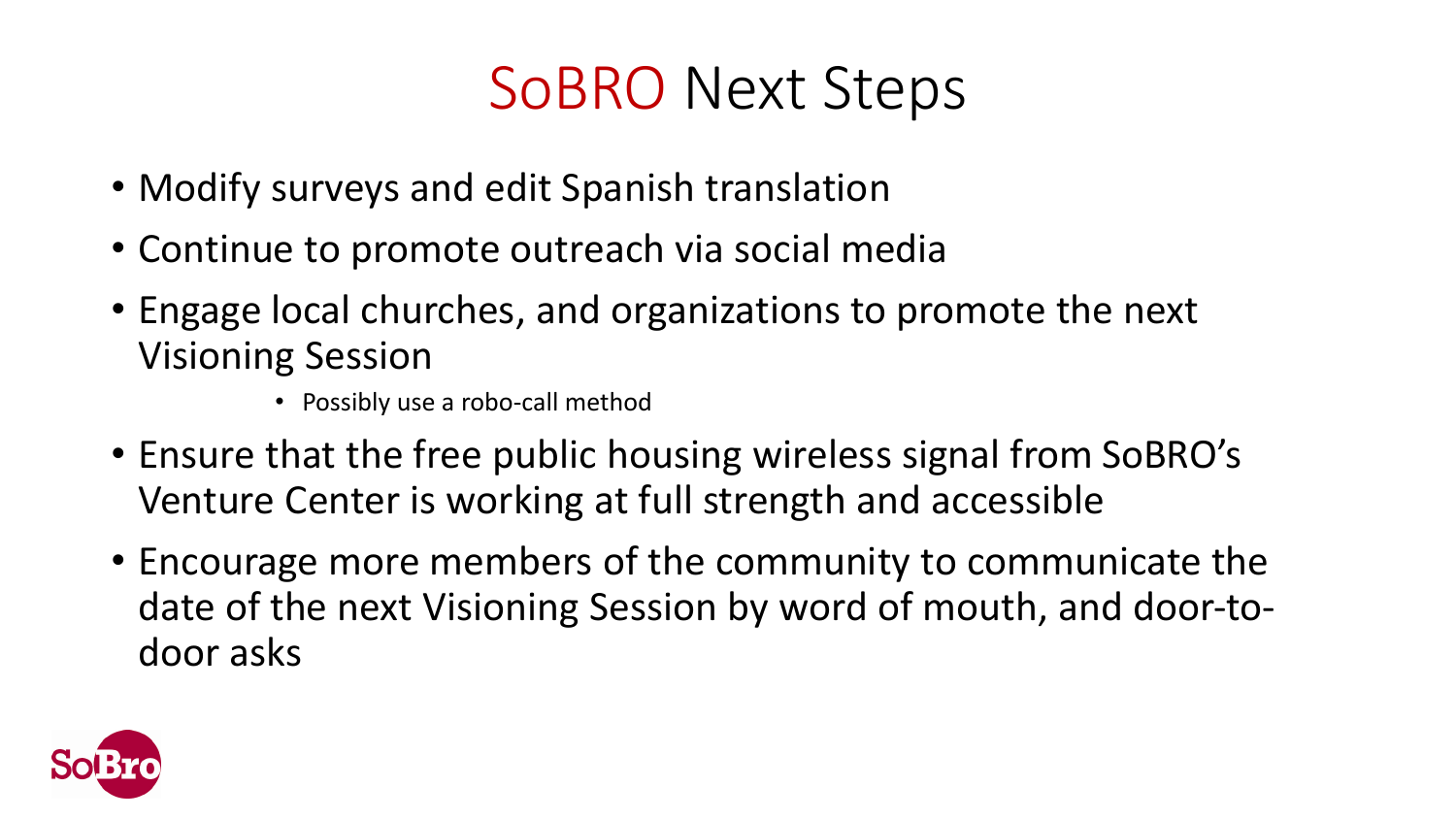## SoBRO Next Steps

- Modify surveys and edit Spanish translation
- Continue to promote outreach via social media
- Engage local churches, and organizations to promote the next Visioning Session
	- Possibly use a robo-call method
- Ensure that the free public housing wireless signal from SoBRO's Venture Center is working at full strength and accessible
- Encourage more members of the community to communicate the date of the next Visioning Session by word of mouth, and door-todoor asks